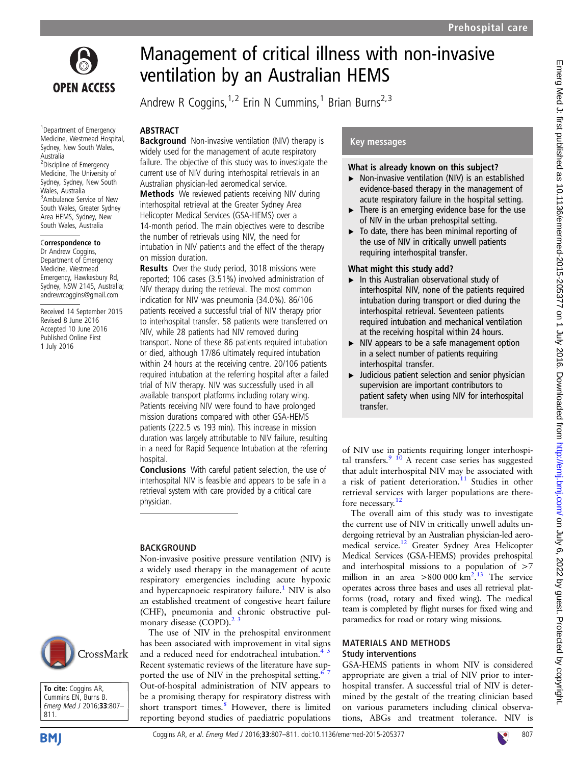

<sup>1</sup> Department of Emergency Medicine, Westmead Hospital, Sydney, New South Wales, Australia <sup>2</sup> Discipline of Emergency Medicine, The University of Sydney, Sydney, New South Wales, Australia <sup>3</sup> Ambulance Service of New South Wales, Greater Sydney Area HEMS, Sydney, New South Wales, Australia

#### Correspondence to

Dr Andrew Coggins, Department of Emergency Medicine, Westmead Emergency, Hawkesbury Rd, Sydney, NSW 2145, Australia; andrewrcoggins@gmail.com

Received 14 September 2015 Revised 8 June 2016 Accepted 10 June 2016 Published Online First 1 July 2016

# Management of critical illness with non-invasive ventilation by an Australian HEMS

Andrew R Coggins,  $1,2$  Erin N Cummins, <sup>1</sup> Brian Burns<sup>2, 3</sup>

#### ABSTRACT

Background Non-invasive ventilation (NIV) therapy is widely used for the management of acute respiratory failure. The objective of this study was to investigate the current use of NIV during interhospital retrievals in an Australian physician-led aeromedical service.

Methods We reviewed patients receiving NIV during interhospital retrieval at the Greater Sydney Area Helicopter Medical Services (GSA-HEMS) over a 14-month period. The main objectives were to describe the number of retrievals using NIV, the need for intubation in NIV patients and the effect of the therapy on mission duration.

Results Over the study period, 3018 missions were reported; 106 cases (3.51%) involved administration of NIV therapy during the retrieval. The most common indication for NIV was pneumonia (34.0%). 86/106 patients received a successful trial of NIV therapy prior to interhospital transfer. 58 patients were transferred on NIV, while 28 patients had NIV removed during transport. None of these 86 patients required intubation or died, although 17/86 ultimately required intubation within 24 hours at the receiving centre. 20/106 patients required intubation at the referring hospital after a failed trial of NIV therapy. NIV was successfully used in all available transport platforms including rotary wing. Patients receiving NIV were found to have prolonged mission durations compared with other GSA-HEMS patients (222.5 vs 193 min). This increase in mission duration was largely attributable to NIV failure, resulting in a need for Rapid Sequence Intubation at the referring hospital.

Conclusions With careful patient selection, the use of interhospital NIV is feasible and appears to be safe in a retrieval system with care provided by a critical care physician.

#### BACKGROUND

Non-invasive positive pressure ventilation (NIV) is a widely used therapy in the management of acute respiratory emergencies including acute hypoxic and hypercapnoeic respiratory failure.<sup>[1](#page-4-0)</sup> NIV is also an established treatment of congestive heart failure (CHF), pneumonia and chronic obstructive pulmonary disease (COPD).<sup>2</sup>

The use of NIV in the prehospital environment has been associated with improvement in vital signs and a reduced need for endotracheal intubation.<sup>4</sup> Recent systematic reviews of the literature have supported the use of NIV in the prehospital setting.<sup>6</sup> Out-of-hospital administration of NIV appears to be a promising therapy for respiratory distress with short transport times.<sup>[8](#page-4-0)</sup> However, there is limited reporting beyond studies of paediatric populations

## Key messages

#### What is already known on this subject?

- ▸ Non-invasive ventilation (NIV) is an established evidence-based therapy in the management of acute respiratory failure in the hospital setting.
- $\blacktriangleright$  There is an emerging evidence base for the use of NIV in the urban prehospital setting.
- ▸ To date, there has been minimal reporting of the use of NIV in critically unwell patients requiring interhospital transfer.

#### What might this study add?

- ▸ In this Australian observational study of interhospital NIV, none of the patients required intubation during transport or died during the interhospital retrieval. Seventeen patients required intubation and mechanical ventilation at the receiving hospital within 24 hours.
- ▸ NIV appears to be a safe management option in a select number of patients requiring interhospital transfer.
- $\blacktriangleright$  Judicious patient selection and senior physician supervision are important contributors to patient safety when using NIV for interhospital transfer.

of NIV use in patients requiring longer interhospital transfers. $9\,$  10 A recent case series has suggested that adult interhospital NIV may be associated with a risk of patient deterioration. $11$  Studies in other retrieval services with larger populations are there-fore necessary.<sup>[12](#page-4-0)</sup>

The overall aim of this study was to investigate the current use of NIV in critically unwell adults undergoing retrieval by an Australian physician-led aeromedical service.[12](#page-4-0) Greater Sydney Area Helicopter Medical Services (GSA-HEMS) provides prehospital and interhospital missions to a population of  $\geq 7$ million in an area  $>800 000 \text{ km}^2$  $>800 000 \text{ km}^2$ .<sup>[13](#page-4-0)</sup> The service operates across three bases and uses all retrieval platforms (road, rotary and fixed wing). The medical team is completed by flight nurses for fixed wing and paramedics for road or rotary wing missions.

#### MATERIALS AND METHODS Study interventions

GSA-HEMS patients in whom NIV is considered appropriate are given a trial of NIV prior to interhospital transfer. A successful trial of NIV is determined by the gestalt of the treating clinician based on various parameters including clinical observations, ABGs and treatment tolerance. NIV is



To cite: Coggins AR, Cummins EN, Burns B. Emerg Med J 2016;33:807-811.

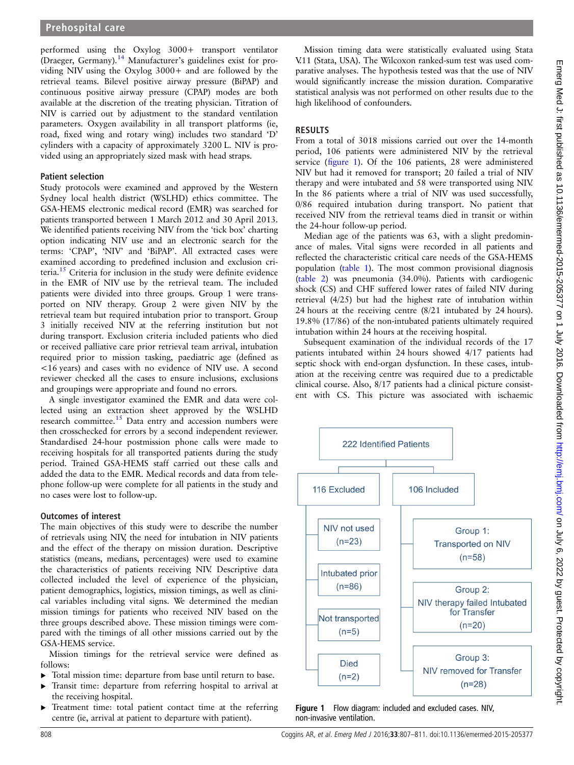performed using the Oxylog 3000+ transport ventilator (Draeger, Germany).[14](#page-4-0) Manufacturer's guidelines exist for providing NIV using the Oxylog 3000+ and are followed by the retrieval teams. Bilevel positive airway pressure (BiPAP) and continuous positive airway pressure (CPAP) modes are both available at the discretion of the treating physician. Titration of NIV is carried out by adjustment to the standard ventilation parameters. Oxygen availability in all transport platforms (ie, road, fixed wing and rotary wing) includes two standard 'D' cylinders with a capacity of approximately 3200 L. NIV is provided using an appropriately sized mask with head straps.

### Patient selection

Study protocols were examined and approved by the Western Sydney local health district (WSLHD) ethics committee. The GSA-HEMS electronic medical record (EMR) was searched for patients transported between 1 March 2012 and 30 April 2013. We identified patients receiving NIV from the 'tick box' charting option indicating NIV use and an electronic search for the terms: 'CPAP', 'NIV' and 'BiPAP'. All extracted cases were examined according to predefined inclusion and exclusion criteria[.15](#page-4-0) Criteria for inclusion in the study were definite evidence in the EMR of NIV use by the retrieval team. The included patients were divided into three groups. Group 1 were transported on NIV therapy. Group 2 were given NIV by the retrieval team but required intubation prior to transport. Group 3 initially received NIV at the referring institution but not during transport. Exclusion criteria included patients who died or received palliative care prior retrieval team arrival, intubation required prior to mission tasking, paediatric age (defined as <16 years) and cases with no evidence of NIV use. A second reviewer checked all the cases to ensure inclusions, exclusions and groupings were appropriate and found no errors.

A single investigator examined the EMR and data were collected using an extraction sheet approved by the WSLHD research committee.<sup>[15](#page-4-0)</sup> Data entry and accession numbers were then crosschecked for errors by a second independent reviewer. Standardised 24-hour postmission phone calls were made to receiving hospitals for all transported patients during the study period. Trained GSA-HEMS staff carried out these calls and added the data to the EMR. Medical records and data from telephone follow-up were complete for all patients in the study and no cases were lost to follow-up.

## Outcomes of interest

The main objectives of this study were to describe the number of retrievals using NIV, the need for intubation in NIV patients and the effect of the therapy on mission duration. Descriptive statistics (means, medians, percentages) were used to examine the characteristics of patients receiving NIV. Descriptive data collected included the level of experience of the physician, patient demographics, logistics, mission timings, as well as clinical variables including vital signs. We determined the median mission timings for patients who received NIV based on the three groups described above. These mission timings were compared with the timings of all other missions carried out by the GSA-HEMS service.

Mission timings for the retrieval service were defined as follows:

- ▸ Total mission time: departure from base until return to base.
- ▸ Transit time: departure from referring hospital to arrival at the receiving hospital.
- ▸ Treatment time: total patient contact time at the referring centre (ie, arrival at patient to departure with patient).

Mission timing data were statistically evaluated using Stata V.11 (Stata, USA). The Wilcoxon ranked-sum test was used comparative analyses. The hypothesis tested was that the use of NIV would significantly increase the mission duration. Comparative statistical analysis was not performed on other results due to the high likelihood of confounders.

## RESULTS

From a total of 3018 missions carried out over the 14-month period, 106 patients were administered NIV by the retrieval service (figure 1). Of the 106 patients, 28 were administered NIV but had it removed for transport; 20 failed a trial of NIV therapy and were intubated and 58 were transported using NIV. In the 86 patients where a trial of NIV was used successfully, 0/86 required intubation during transport. No patient that received NIV from the retrieval teams died in transit or within the 24-hour follow-up period.

Median age of the patients was 63, with a slight predominance of males. Vital signs were recorded in all patients and reflected the characteristic critical care needs of the GSA-HEMS population [\(table 1\)](#page-2-0). The most common provisional diagnosis ([table 2](#page-2-0)) was pneumonia (34.0%). Patients with cardiogenic shock (CS) and CHF suffered lower rates of failed NIV during retrieval (4/25) but had the highest rate of intubation within 24 hours at the receiving centre (8/21 intubated by 24 hours). 19.8% (17/86) of the non-intubated patients ultimately required intubation within 24 hours at the receiving hospital.

Subsequent examination of the individual records of the 17 patients intubated within 24 hours showed 4/17 patients had septic shock with end-organ dysfunction. In these cases, intubation at the receiving centre was required due to a predictable clinical course. Also, 8/17 patients had a clinical picture consistent with CS. This picture was associated with ischaemic

106 Included

Group 1:

**Transported on NIV**  $(n=58)$ 

Group 2: NIV therapy failed Intubated for Transfer

 $(n=20)$ 

Group 3:

NIV removed for Transfer

 $(n=28)$ 

222 Identified Patients

116 Excluded

NIV not used

 $(n=23)$ 

Intubated prior  $(n=86)$ 

Not transported

 $(n=5)$ 

**Died** 

 $(n=2)$ 

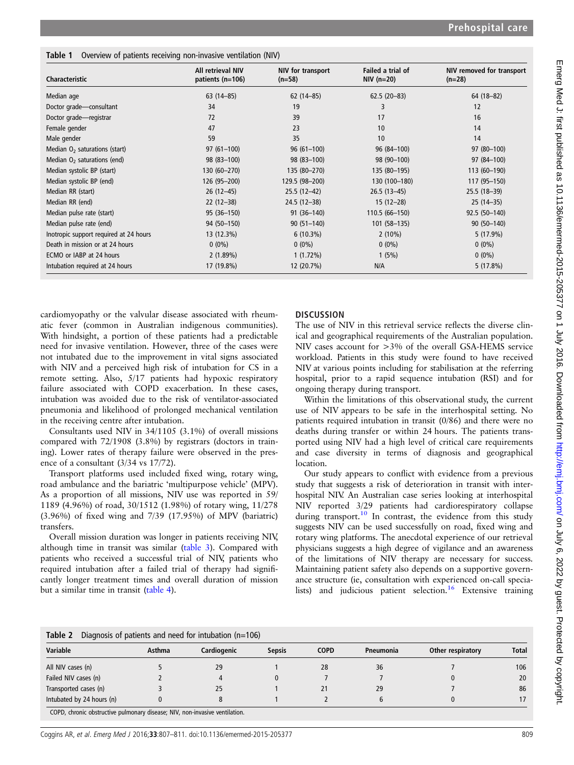<span id="page-2-0"></span>

| <b>Characteristic</b>                  | All retrieval NIV<br>patients (n=106) | NIV for transport<br>$(n=58)$ | Failed a trial of<br>$NIV$ (n=20) | NIV removed for transport<br>$(n=28)$ |
|----------------------------------------|---------------------------------------|-------------------------------|-----------------------------------|---------------------------------------|
| Median age                             | $63(14-85)$                           | $62(14-85)$                   | $62.5(20-83)$                     | $64(18-82)$                           |
| Doctor grade-consultant                | 34                                    | 19                            | 3                                 | 12                                    |
| Doctor grade-registrar                 | 72                                    | 39                            | 17                                | 16                                    |
| Female gender                          | 47                                    | 23                            | 10                                | 14                                    |
| Male gender                            | 59                                    | 35                            | 10                                | 14                                    |
| Median $O2$ saturations (start)        | $97(61-100)$                          | $96(61-100)$                  | 96 (84-100)                       | 97 (80-100)                           |
| Median $O2$ saturations (end)          | 98 (83-100)                           | 98 (83-100)                   | 98 (90-100)                       | 97 (84-100)                           |
| Median systolic BP (start)             | 130 (60-270)                          | 135 (80-270)                  | 135 (80-195)                      | 113 (60-190)                          |
| Median systolic BP (end)               | 126 (95-200)                          | 129.5 (98-200)                | 130 (100-180)                     | 117 (95-150)                          |
| Median RR (start)                      | $26(12-45)$                           | $25.5(12-42)$                 | $26.5(13-45)$                     | 25.5 (18-39)                          |
| Median RR (end)                        | $22(12-38)$                           | $24.5(12-38)$                 | $15(12-28)$                       | $25(14-35)$                           |
| Median pulse rate (start)              | 95 (36-150)                           | $91(36 - 140)$                | $110.5(66 - 150)$                 | 92.5 (50-140)                         |
| Median pulse rate (end)                | 94 (50-150)                           | $90(51 - 140)$                | $101(58-135)$                     | 90 (50-140)                           |
| Inotropic support required at 24 hours | 13 (12.3%)                            | $6(10.3\%)$                   | $2(10\%)$                         | 5(17.9%)                              |
| Death in mission or at 24 hours        | $0(0\%)$                              | $0(0\%)$                      | $0(0\%)$                          | $0(0\%)$                              |
| ECMO or IABP at 24 hours               | 2(1.89%)                              | $1(1.72\%)$                   | 1(5%)                             | $0(0\%)$                              |
| Intubation required at 24 hours        | 17 (19.8%)                            | 12 (20.7%)                    | N/A                               | 5(17.8%)                              |

cardiomyopathy or the valvular disease associated with rheumatic fever (common in Australian indigenous communities). With hindsight, a portion of these patients had a predictable need for invasive ventilation. However, three of the cases were not intubated due to the improvement in vital signs associated with NIV and a perceived high risk of intubation for CS in a remote setting. Also, 5/17 patients had hypoxic respiratory failure associated with COPD exacerbation. In these cases, intubation was avoided due to the risk of ventilator-associated pneumonia and likelihood of prolonged mechanical ventilation in the receiving centre after intubation.

Consultants used NIV in 34/1105 (3.1%) of overall missions compared with 72/1908 (3.8%) by registrars (doctors in training). Lower rates of therapy failure were observed in the presence of a consultant (3/34 vs 17/72).

Transport platforms used included fixed wing, rotary wing, road ambulance and the bariatric 'multipurpose vehicle' (MPV). As a proportion of all missions, NIV use was reported in 59/ 1189 (4.96%) of road, 30/1512 (1.98%) of rotary wing, 11/278 (3.96%) of fixed wing and 7/39 (17.95%) of MPV (bariatric) transfers.

Overall mission duration was longer in patients receiving NIV, although time in transit was similar ([table 3\)](#page-3-0). Compared with patients who received a successful trial of NIV, patients who required intubation after a failed trial of therapy had significantly longer treatment times and overall duration of mission but a similar time in transit ([table 4\)](#page-3-0).

#### **DISCUSSION**

The use of NIV in this retrieval service reflects the diverse clinical and geographical requirements of the Australian population. NIV cases account for >3% of the overall GSA-HEMS service workload. Patients in this study were found to have received NIV at various points including for stabilisation at the referring hospital, prior to a rapid sequence intubation (RSI) and for ongoing therapy during transport.

Within the limitations of this observational study, the current use of NIV appears to be safe in the interhospital setting. No patients required intubation in transit (0/86) and there were no deaths during transfer or within 24 hours. The patients transported using NIV had a high level of critical care requirements and case diversity in terms of diagnosis and geographical location.

Our study appears to conflict with evidence from a previous study that suggests a risk of deterioration in transit with interhospital NIV. An Australian case series looking at interhospital NIV reported 3/29 patients had cardiorespiratory collapse during transport.<sup>[10](#page-4-0)</sup> In contrast, the evidence from this study suggests NIV can be used successfully on road, fixed wing and rotary wing platforms. The anecdotal experience of our retrieval physicians suggests a high degree of vigilance and an awareness of the limitations of NIV therapy are necessary for success. Maintaining patient safety also depends on a supportive governance structure (ie, consultation with experienced on-call specialists) and judicious patient selection.<sup>16</sup> Extensive training

| Diagnosis of patients and need for intubation $(n=106)$<br>Table 2 |        |             |               |             |           |                   |              |
|--------------------------------------------------------------------|--------|-------------|---------------|-------------|-----------|-------------------|--------------|
| Variable                                                           | Asthma | Cardiogenic | <b>Sepsis</b> | <b>COPD</b> | Pneumonia | Other respiratory | <b>Total</b> |
| All NIV cases (n)                                                  |        | 29          |               | 28          | 36        |                   | 106          |
| Failed NIV cases (n)                                               |        |             |               |             |           |                   | 20           |
| Transported cases (n)                                              |        | 25          |               |             | 29        |                   | 86           |
| Intubated by 24 hours (n)                                          |        |             |               |             |           |                   | 17           |

COPD, chronic obstructive pulmonary disease; NIV, non-invasive ventilation.

Coggins AR, et al. Emerg Med J 2016;33:807–811. doi:10.1136/emermed-2015-205377 809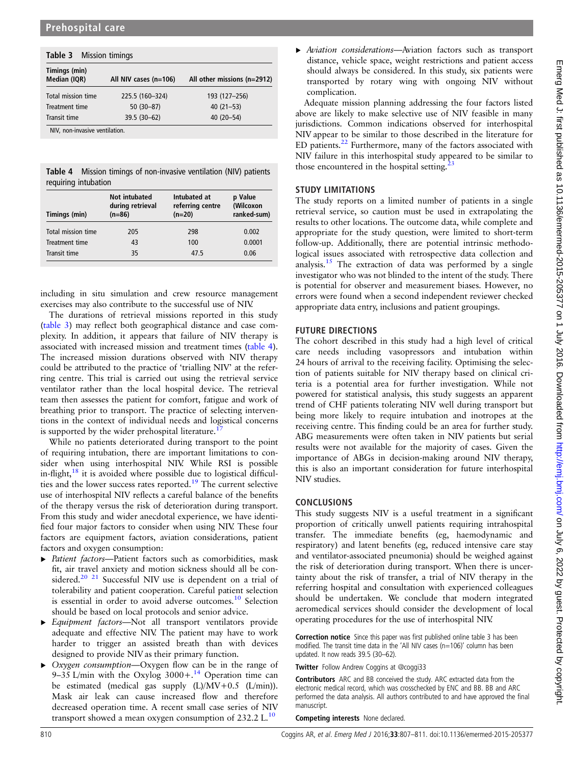<span id="page-3-0"></span>

| <b>Table 3</b> Mission timings |                       |                             |  |  |  |
|--------------------------------|-----------------------|-----------------------------|--|--|--|
| Timings (min)<br>Median (IQR)  | All NIV cases (n=106) | All other missions (n=2912) |  |  |  |
| Total mission time             | 225.5 (160-324)       | 193 (127-256)               |  |  |  |
| Treatment time                 | $50(30-87)$           | $40(21-53)$                 |  |  |  |
| Transit time                   | 39.5 (30-62)          | $40(20 - 54)$               |  |  |  |
| NIV, non-invasive ventilation. |                       |                             |  |  |  |

Table 4 Mission timings of non-invasive ventilation (NIV) patients ruiring intubation

| <b>ICUMINIA INTRODUCION</b> |                                               |                                              |                                     |  |  |
|-----------------------------|-----------------------------------------------|----------------------------------------------|-------------------------------------|--|--|
| Timings (min)               | Not intubated<br>during retrieval<br>$(n=86)$ | Intubated at<br>referring centre<br>$(n=20)$ | p Value<br>(Wilcoxon<br>ranked-sum) |  |  |
| Total mission time          | 205                                           | 298                                          | 0.002                               |  |  |
| Treatment time              | 43                                            | 100                                          | 0.0001                              |  |  |
| Transit time                | 35                                            | 47.5                                         | 0.06                                |  |  |

including in situ simulation and crew resource management exercises may also contribute to the successful use of NIV.

The durations of retrieval missions reported in this study (table 3) may reflect both geographical distance and case complexity. In addition, it appears that failure of NIV therapy is associated with increased mission and treatment times (table 4). The increased mission durations observed with NIV therapy could be attributed to the practice of 'trialling NIV' at the referring centre. This trial is carried out using the retrieval service ventilator rather than the local hospital device. The retrieval team then assesses the patient for comfort, fatigue and work of breathing prior to transport. The practice of selecting interventions in the context of individual needs and logistical concerns is supported by the wider prehospital literature.<sup>1</sup>

While no patients deteriorated during transport to the point of requiring intubation, there are important limitations to consider when using interhospital NIV. While RSI is possible in-flight, $18$  it is avoided where possible due to logistical difficulties and the lower success rates reported[.19](#page-4-0) The current selective use of interhospital NIV reflects a careful balance of the benefits of the therapy versus the risk of deterioration during transport. From this study and wider anecdotal experience, we have identified four major factors to consider when using NIV. These four factors are equipment factors, aviation considerations, patient factors and oxygen consumption:

- ▸ Patient factors—Patient factors such as comorbidities, mask fit, air travel anxiety and motion sickness should all be con-sidered.<sup>[20 21](#page-4-0)</sup> Successful NIV use is dependent on a trial of tolerability and patient cooperation. Careful patient selection is essential in order to avoid adverse outcomes.<sup>[10](#page-4-0)</sup> Selection should be based on local protocols and senior advice.
- ▸ Equipment factors—Not all transport ventilators provide adequate and effective NIV. The patient may have to work harder to trigger an assisted breath than with devices designed to provide NIV as their primary function.
- ▸ Oxygen consumption—Oxygen flow can be in the range of 9–35 L/min with the Oxylog  $3000 +$ .<sup>[14](#page-4-0)</sup> Operation time can be estimated (medical gas supply (L)/MV+0.5 (L/min)). Mask air leak can cause increased flow and therefore decreased operation time. A recent small case series of NIV transport showed a mean oxygen consumption of  $232.2 L^{10}$  $232.2 L^{10}$  $232.2 L^{10}$

▸ Aviation considerations—Aviation factors such as transport distance, vehicle space, weight restrictions and patient access should always be considered. In this study, six patients were transported by rotary wing with ongoing NIV without complication.

Adequate mission planning addressing the four factors listed above are likely to make selective use of NIV feasible in many jurisdictions. Common indications observed for interhospital NIV appear to be similar to those described in the literature for ED patients. $^{22}$  $^{22}$  $^{22}$  Furthermore, many of the factors associated with NIV failure in this interhospital study appeared to be similar to those encountered in the hospital setting.<sup>2</sup>

## STUDY LIMITATIONS

The study reports on a limited number of patients in a single retrieval service, so caution must be used in extrapolating the results to other locations. The outcome data, while complete and appropriate for the study question, were limited to short-term follow-up. Additionally, there are potential intrinsic methodological issues associated with retrospective data collection and analysis.[15](#page-4-0) The extraction of data was performed by a single investigator who was not blinded to the intent of the study. There is potential for observer and measurement biases. However, no errors were found when a second independent reviewer checked appropriate data entry, inclusions and patient groupings.

### FUTURE DIRECTIONS

The cohort described in this study had a high level of critical care needs including vasopressors and intubation within 24 hours of arrival to the receiving facility. Optimising the selection of patients suitable for NIV therapy based on clinical criteria is a potential area for further investigation. While not powered for statistical analysis, this study suggests an apparent trend of CHF patients tolerating NIV well during transport but being more likely to require intubation and inotropes at the receiving centre. This finding could be an area for further study. ABG measurements were often taken in NIV patients but serial results were not available for the majority of cases. Given the importance of ABGs in decision-making around NIV therapy, this is also an important consideration for future interhospital NIV studies.

## CONCLUSIONS

This study suggests NIV is a useful treatment in a significant proportion of critically unwell patients requiring intrahospital transfer. The immediate benefits (eg, haemodynamic and respiratory) and latent benefits (eg, reduced intensive care stay and ventilator-associated pneumonia) should be weighed against the risk of deterioration during transport. When there is uncertainty about the risk of transfer, a trial of NIV therapy in the referring hospital and consultation with experienced colleagues should be undertaken. We conclude that modern integrated aeromedical services should consider the development of local operating procedures for the use of interhospital NIV.

Correction notice Since this paper was first published online table 3 has been modified. The transit time data in the 'All NIV cases (n=106)' column has been updated. It now reads 39.5 (30–62).

Twitter Follow Andrew Coggins at [@coggi33](http://twitter.com/coggi33)

Contributors ARC and BB conceived the study. ARC extracted data from the electronic medical record, which was crosschecked by ENC and BB. BB and ARC performed the data analysis. All authors contributed to and have approved the final manuscript.

Competing interests None declared.